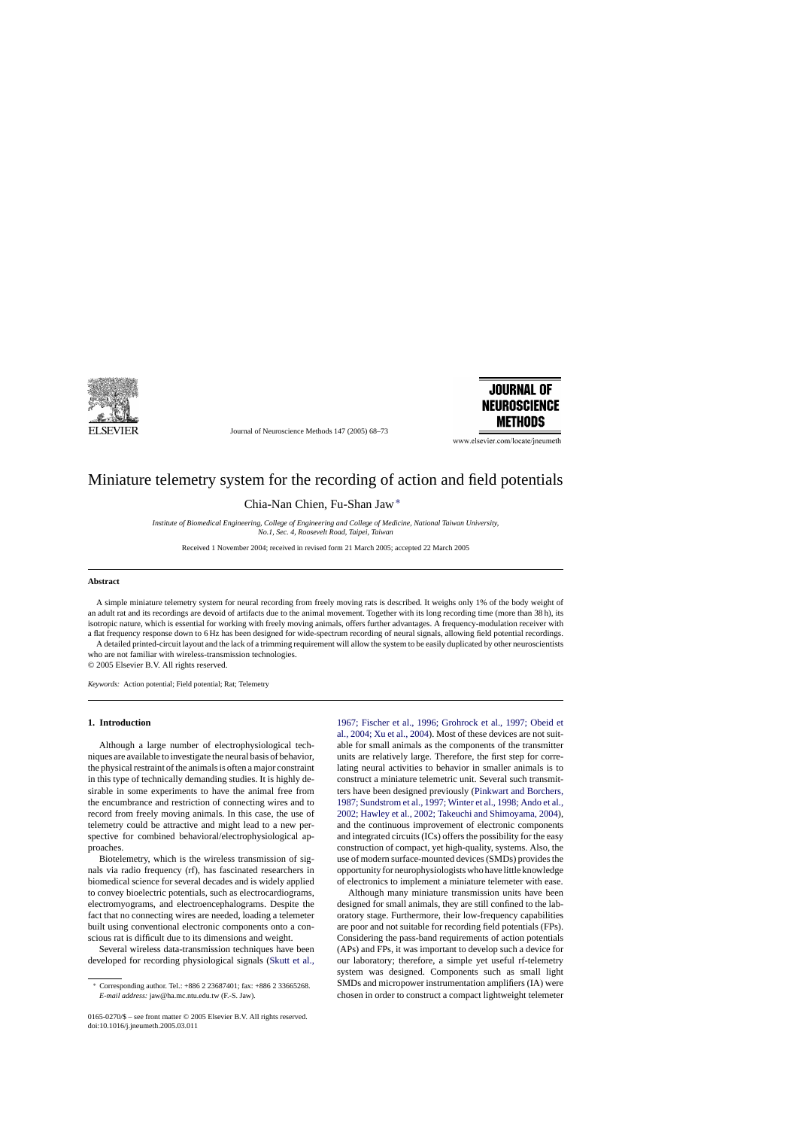

Journal of Neuroscience Methods 147 (2005) 68–73



www.elsevier.com/locate/jneumeth

# Miniature telemetry system for the recording of action and field potentials

Chia-Nan Chien, Fu-Shan Jaw∗

*Institute of Biomedical Engineering, College of Engineering and College of Medicine, National Taiwan University, No.1, Sec. 4, Roosevelt Road, Taipei, Taiwan*

Received 1 November 2004; received in revised form 21 March 2005; accepted 22 March 2005

#### **Abstract**

A simple miniature telemetry system for neural recording from freely moving rats is described. It weighs only 1% of the body weight of an adult rat and its recordings are devoid of artifacts due to the animal movement. Together with its long recording time (more than 38 h), its isotropic nature, which is essential for working with freely moving animals, offers further advantages. A frequency-modulation receiver with a flat frequency response down to 6 Hz has been designed for wide-spectrum recording of neural signals, allowing field potential recordings.

A detailed printed-circuit layout and the lack of a trimming requirement will allow the system to be easily duplicated by other neuroscientists who are not familiar with wireless-transmission technologies. © 2005 Elsevier B.V. All rights reserved.

*Keywords:* Action potential; Field potential; Rat; Telemetry

# **1. Introduction**

Although a large number of electrophysiological techniques are available to investigate the neural basis of behavior, the physical restraint of the animals is often a major constraint in this type of technically demanding studies. It is highly desirable in some experiments to have the animal free from the encumbrance and restriction of connecting wires and to record from freely moving animals. In this case, the use of telemetry could be attractive and might lead to a new perspective for combined behavioral/electrophysiological approaches.

Biotelemetry, which is the wireless transmission of signals via radio frequency (rf), has fascinated researchers in biomedical science for several decades and is widely applied to convey bioelectric potentials, such as electrocardiograms, electromyograms, and electroencephalograms. Despite the fact that no connecting wires are needed, loading a telemeter built using conventional electronic components onto a conscious rat is difficult due to its dimensions and weight.

Several wireless data-transmission techniques have been developed for recording physiological signals ([Skutt et al.,](#page-4-0)

[1967; Fischer et al., 1996; Grohrock et al., 1997; Obeid et](#page-4-0) [al., 2004; Xu et al., 2004\).](#page-4-0) Most of these devices are not suitable for small animals as the components of the transmitter units are relatively large. Therefore, the first step for correlating neural activities to behavior in smaller animals is to construct a miniature telemetric unit. Several such transmitters have been designed previously ([Pinkwart and Borchers,](#page-4-0) [1987; Sundstrom et al., 1997; Winter et al., 1998; Ando et al.,](#page-4-0) [2002; Hawley et al., 2002; Takeuchi and Shimoyama, 2004\),](#page-4-0) and the continuous improvement of electronic components and integrated circuits (ICs) offers the possibility for the easy construction of compact, yet high-quality, systems. Also, the use of modern surface-mounted devices (SMDs) provides the opportunity for neurophysiologists who have little knowledge of electronics to implement a miniature telemeter with ease.

Although many miniature transmission units have been designed for small animals, they are still confined to the laboratory stage. Furthermore, their low-frequency capabilities are poor and not suitable for recording field potentials (FPs). Considering the pass-band requirements of action potentials (APs) and FPs, it was important to develop such a device for our laboratory; therefore, a simple yet useful rf-telemetry system was designed. Components such as small light SMDs and micropower instrumentation amplifiers (IA) were chosen in order to construct a compact lightweight telemeter

<sup>∗</sup> Corresponding author. Tel.: +886 2 23687401; fax: +886 2 33665268. *E-mail address:* jaw@ha.mc.ntu.edu.tw (F.-S. Jaw).

<sup>0165-0270/\$ –</sup> see front matter © 2005 Elsevier B.V. All rights reserved. doi:10.1016/j.jneumeth.2005.03.011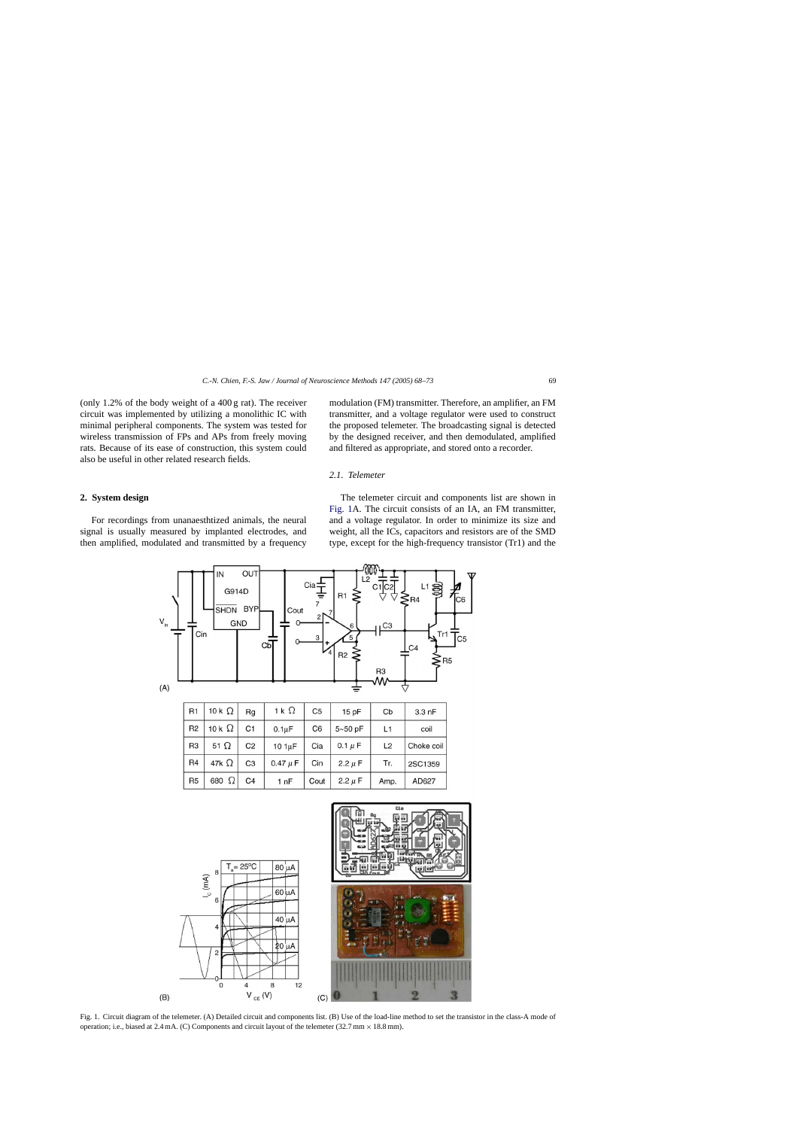<span id="page-1-0"></span>(only 1.2% of the body weight of a 400 g rat). The receiver circuit was implemented by utilizing a monolithic IC with minimal peripheral components. The system was tested for wireless transmission of FPs and APs from freely moving rats. Because of its ease of construction, this system could also be useful in other related research fields.

modulation (FM) transmitter. Therefore, an amplifier, an FM transmitter, and a voltage regulator were used to construct the proposed telemeter. The broadcasting signal is detected by the designed receiver, and then demodulated, amplified and filtered as appropriate, and stored onto a recorder.

## *2.1. Telemeter*

#### **2. System design**

For recordings from unanaesthtized animals, the neural signal is usually measured by implanted electrodes, and then amplified, modulated and transmitted by a frequency

 $(B)$ 

The telemeter circuit and components list are shown in Fig. 1A. The circuit consists of an IA, an FM transmitter, and a voltage regulator. In order to minimize its size and weight, all the ICs, capacitors and resistors are of the SMD type, except for the high-frequency transistor (Tr1) and the





Fig. 1. Circuit diagram of the telemeter. (A) Detailed circuit and components list. (B) Use of the load-line method to set the transistor in the class-A mode of operation; i.e., biased at 2.4 mA. (C) Components and circuit layout of the telemeter (32.7 mm × 18.8 mm).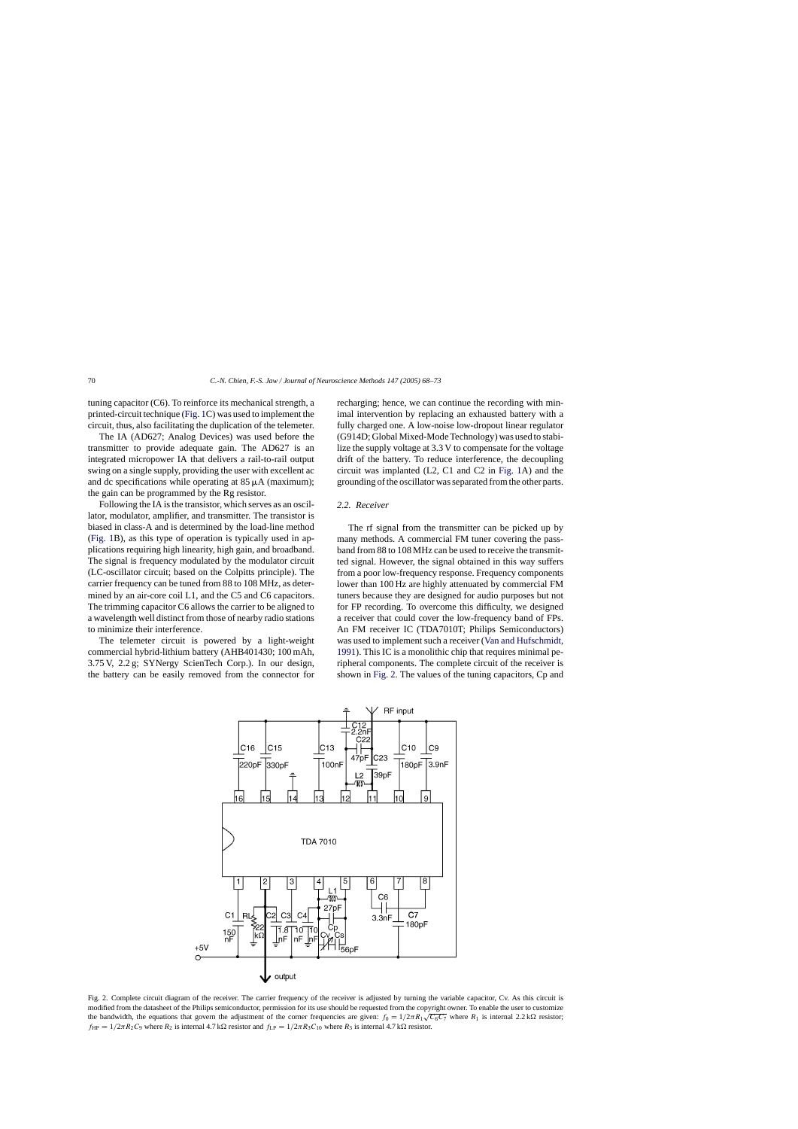<span id="page-2-0"></span>tuning capacitor (C6). To reinforce its mechanical strength, a printed-circuit technique [\(Fig. 1C](#page-1-0)) was used to implement the circuit, thus, also facilitating the duplication of the telemeter.

The IA (AD627; Analog Devices) was used before the transmitter to provide adequate gain. The AD627 is an integrated micropower IA that delivers a rail-to-rail output swing on a single supply, providing the user with excellent ac and dc specifications while operating at  $85 \mu A$  (maximum); the gain can be programmed by the Rg resistor.

Following the IA is the transistor, which serves as an oscillator, modulator, amplifier, and transmitter. The transistor is biased in class-A and is determined by the load-line method [\(Fig. 1B](#page-1-0)), as this type of operation is typically used in applications requiring high linearity, high gain, and broadband. The signal is frequency modulated by the modulator circuit (LC-oscillator circuit; based on the Colpitts principle). The carrier frequency can be tuned from 88 to 108 MHz, as determined by an air-core coil L1, and the C5 and C6 capacitors. The trimming capacitor C6 allows the carrier to be aligned to a wavelength well distinct from those of nearby radio stations to minimize their interference.

The telemeter circuit is powered by a light-weight commercial hybrid-lithium battery (AHB401430; 100 mAh, 3.75 V, 2.2 g; SYNergy ScienTech Corp.). In our design, the battery can be easily removed from the connector for recharging; hence, we can continue the recording with minimal intervention by replacing an exhausted battery with a fully charged one. A low-noise low-dropout linear regulator (G914D; Global Mixed-Mode Technology) was used to stabilize the supply voltage at 3.3 V to compensate for the voltage drift of the battery. To reduce interference, the decoupling circuit was implanted (L2, C1 and C2 in [Fig. 1A](#page-1-0)) and the grounding of the oscillator was separated from the other parts.

# *2.2. Receiver*

The rf signal from the transmitter can be picked up by many methods. A commercial FM tuner covering the passband from 88 to 108 MHz can be used to receive the transmitted signal. However, the signal obtained in this way suffers from a poor low-frequency response. Frequency components lower than 100 Hz are highly attenuated by commercial FM tuners because they are designed for audio purposes but not for FP recording. To overcome this difficulty, we designed a receiver that could cover the low-frequency band of FPs. An FM receiver IC (TDA7010T; Philips Semiconductors) was used to implement such a receiver [\(Van and Hufschmidt,](#page-5-0) 1991). This IC is a monolithic chip that requires minimal peripheral components. The complete circuit of the receiver is shown in Fig. 2. The values of the tuning capacitors, Cp and



Fig. 2. Complete circuit diagram of the receiver. The carrier frequency of the receiver is adjusted by turning the variable capacitor, Cv. As this circuit is modified from the datasheet of the Philips semiconductor, permission for its use should be requested from the copyright owner. To enable the user to customize the bandwidth, the equations that govern the adjustment of the corner frequencies are given:  $f_0 = 1/2\pi R_1 \sqrt{C_6 C_7}$  where  $R_1$  is internal 2.2 k $\Omega$  resistor;  $f_{HP} = 1/2\pi R_2 C_9$  where  $R_2$  is internal 4.7 k $\Omega$  resistor and  $f_{LP} = 1/2\pi R_3 C_{10}$  where  $R_3$  is internal 4.7 k $\Omega$  resistor.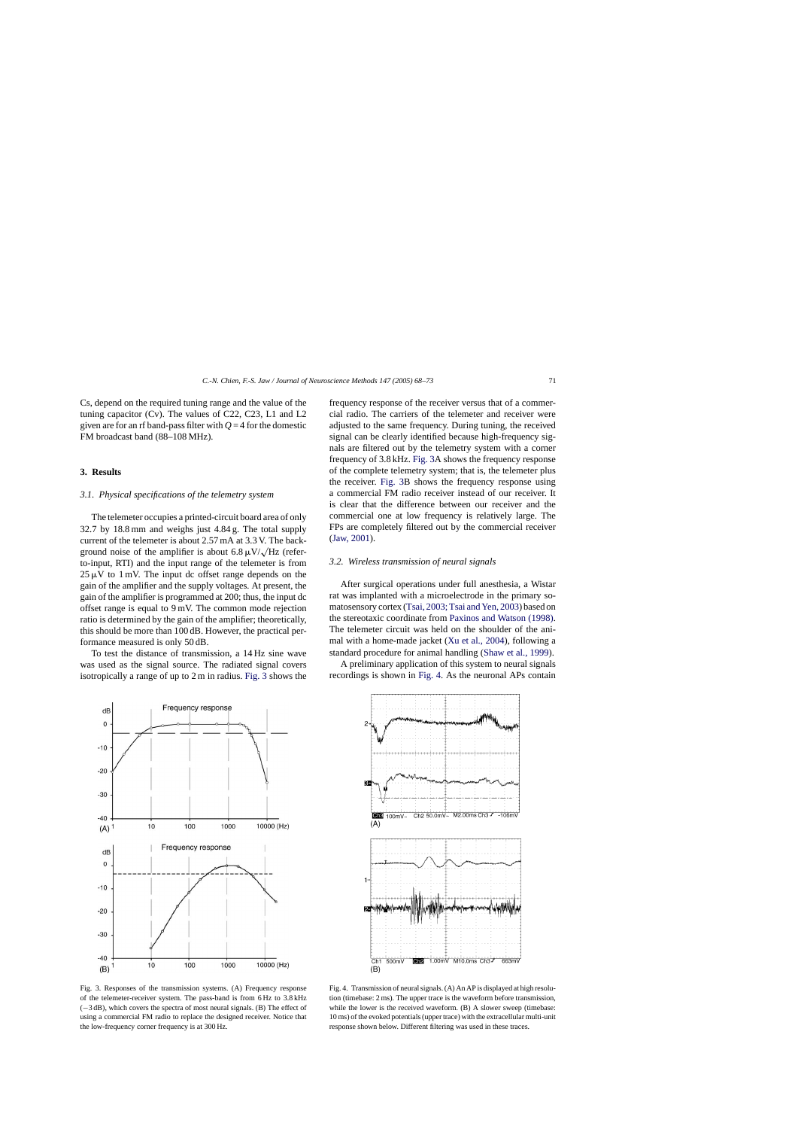<span id="page-3-0"></span>Cs, depend on the required tuning range and the value of the tuning capacitor (Cv). The values of C22, C23, L1 and L2 given are for an rf band-pass filter with  $Q = 4$  for the domestic FM broadcast band (88–108 MHz).

# **3. Results**

## *3.1. Physical specifications of the telemetry system*

The telemeter occupies a printed-circuit board area of only 32.7 by 18.8 mm and weighs just 4.84 g. The total supply current of the telemeter is about 2.57 mA at 3.3 V. The background noise of the amplifier is about 6.8  $\mu$ V/ $\lambda$ /Hz (referto-input, RTI) and the input range of the telemeter is from  $25 \mu V$  to 1 mV. The input dc offset range depends on the gain of the amplifier and the supply voltages. At present, the gain of the amplifier is programmed at 200; thus, the input dc offset range is equal to 9 mV. The common mode rejection ratio is determined by the gain of the amplifier; theoretically, this should be more than 100 dB. However, the practical performance measured is only 50 dB.

To test the distance of transmission, a 14 Hz sine wave was used as the signal source. The radiated signal covers isotropically a range of up to 2 m in radius. Fig. 3 shows the frequency response of the receiver versus that of a commercial radio. The carriers of the telemeter and receiver were adjusted to the same frequency. During tuning, the received signal can be clearly identified because high-frequency signals are filtered out by the telemetry system with a corner frequency of 3.8 kHz. Fig. 3A shows the frequency response of the complete telemetry system; that is, the telemeter plus the receiver. Fig. 3B shows the frequency response using a commercial FM radio receiver instead of our receiver. It is clear that the difference between our receiver and the commercial one at low frequency is relatively large. The FPs are completely filtered out by the commercial receiver ([Jaw, 2001\).](#page-4-0)

## *3.2. Wireless transmission of neural signals*

After surgical operations under full anesthesia, a Wistar rat was implanted with a microelectrode in the primary somatosensory cortex ([Tsai, 2003; Tsai and Yen, 2003\) ba](#page-5-0)sed on the stereotaxic coordinate from [Paxinos and Watson \(1998\).](#page-4-0) The telemeter circuit was held on the shoulder of the animal with a home-made jacket ([Xu et al., 2004\),](#page-5-0) following a standard procedure for animal handling ([Shaw et al., 1999\).](#page-4-0)

A preliminary application of this system to neural signals recordings is shown in Fig. 4. As the neuronal APs contain





Fig. 3. Responses of the transmission systems. (A) Frequency response of the telemeter-receiver system. The pass-band is from 6 Hz to 3.8 kHz (−3 dB), which covers the spectra of most neural signals. (B) The effect of using a commercial FM radio to replace the designed receiver. Notice that the low-frequency corner frequency is at 300 Hz.

Fig. 4. Transmission of neural signals. (A) An AP is displayed at high resolution (timebase: 2 ms). The upper trace is the waveform before transmission, while the lower is the received waveform. (B) A slower sweep (timebase: 10 ms) of the evoked potentials (upper trace) with the extracellular multi-unit response shown below. Different filtering was used in these traces.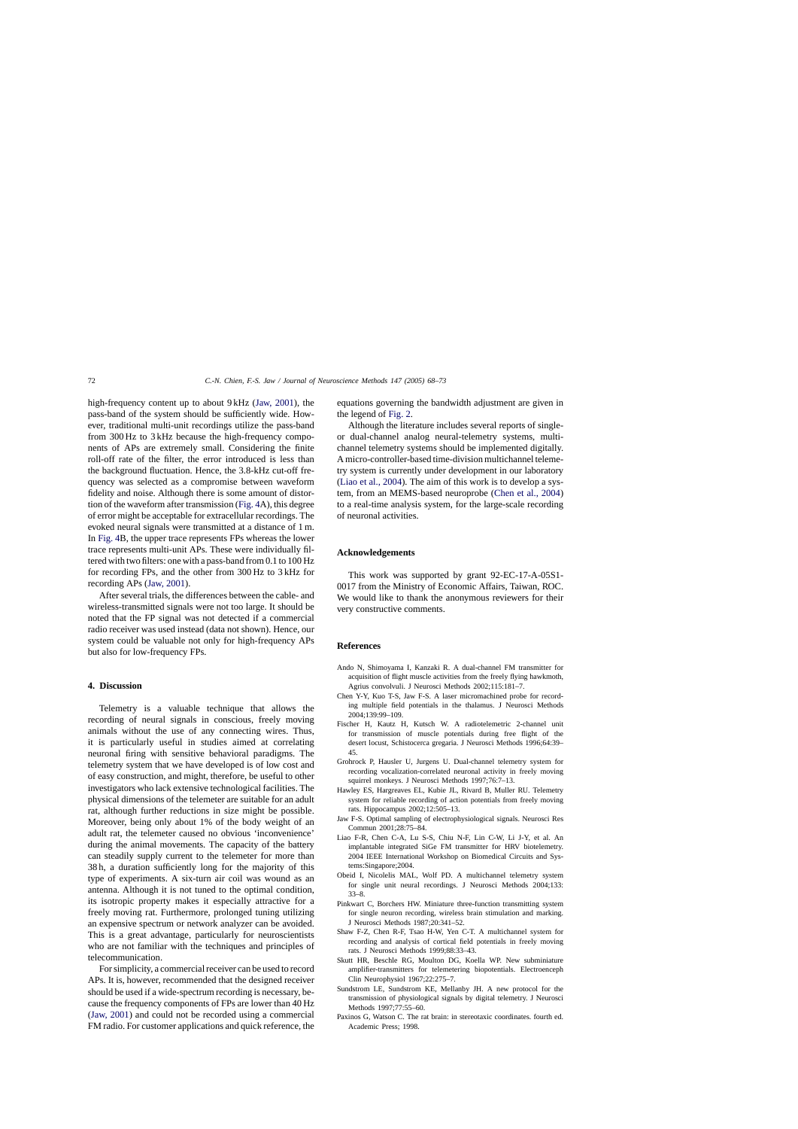<span id="page-4-0"></span>high-frequency content up to about 9 kHz (Jaw, 2001), the pass-band of the system should be sufficiently wide. However, traditional multi-unit recordings utilize the pass-band from 300 Hz to 3 kHz because the high-frequency components of APs are extremely small. Considering the finite roll-off rate of the filter, the error introduced is less than the background fluctuation. Hence, the 3.8-kHz cut-off frequency was selected as a compromise between waveform fidelity and noise. Although there is some amount of distortion of the waveform after transmission ([Fig. 4A](#page-3-0)), this degree of error might be acceptable for extracellular recordings. The evoked neural signals were transmitted at a distance of 1 m. In [Fig. 4B](#page-3-0), the upper trace represents FPs whereas the lower trace represents multi-unit APs. These were individually filtered with two filters: one with a pass-band from 0.1 to 100 Hz for recording FPs, and the other from 300 Hz to 3 kHz for recording APs (Jaw, 2001).

After several trials, the differences between the cable- and wireless-transmitted signals were not too large. It should be noted that the FP signal was not detected if a commercial radio receiver was used instead (data not shown). Hence, our system could be valuable not only for high-frequency APs but also for low-frequency FPs.

# **4. Discussion**

Telemetry is a valuable technique that allows the recording of neural signals in conscious, freely moving animals without the use of any connecting wires. Thus, it is particularly useful in studies aimed at correlating neuronal firing with sensitive behavioral paradigms. The telemetry system that we have developed is of low cost and of easy construction, and might, therefore, be useful to other investigators who lack extensive technological facilities. The physical dimensions of the telemeter are suitable for an adult rat, although further reductions in size might be possible. Moreover, being only about 1% of the body weight of an adult rat, the telemeter caused no obvious 'inconvenience' during the animal movements. The capacity of the battery can steadily supply current to the telemeter for more than 38 h, a duration sufficiently long for the majority of this type of experiments. A six-turn air coil was wound as an antenna. Although it is not tuned to the optimal condition, its isotropic property makes it especially attractive for a freely moving rat. Furthermore, prolonged tuning utilizing an expensive spectrum or network analyzer can be avoided. This is a great advantage, particularly for neuroscientists who are not familiar with the techniques and principles of telecommunication.

For simplicity, a commercial receiver can be used to record APs. It is, however, recommended that the designed receiver should be used if a wide-spectrum recording is necessary, because the frequency components of FPs are lower than 40 Hz (Jaw, 2001) and could not be recorded using a commercial FM radio. For customer applications and quick reference, the

equations governing the bandwidth adjustment are given in the legend of [Fig. 2.](#page-2-0)

Although the literature includes several reports of singleor dual-channel analog neural-telemetry systems, multichannel telemetry systems should be implemented digitally. A micro-controller-based time-division multichannel telemetry system is currently under development in our laboratory (Liao et al., 2004). The aim of this work is to develop a system, from an MEMS-based neuroprobe (Chen et al., 2004) to a real-time analysis system, for the large-scale recording of neuronal activities.

# **Acknowledgements**

This work was supported by grant 92-EC-17-A-05S1- 0017 from the Ministry of Economic Affairs, Taiwan, ROC. We would like to thank the anonymous reviewers for their very constructive comments.

#### **References**

- Ando N, Shimoyama I, Kanzaki R. A dual-channel FM transmitter for acquisition of flight muscle activities from the freely flying hawkmoth, Agrius convolvuli. J Neurosci Methods 2002;115:181–7.
- Chen Y-Y, Kuo T-S, Jaw F-S. A laser micromachined probe for recording multiple field potentials in the thalamus. J Neurosci Methods 2004;139:99–109.
- Fischer H, Kautz H, Kutsch W. A radiotelemetric 2-channel unit for transmission of muscle potentials during free flight of the desert locust, Schistocerca gregaria. J Neurosci Methods 1996;64:39– 45.
- Grohrock P, Hausler U, Jurgens U. Dual-channel telemetry system for recording vocalization-correlated neuronal activity in freely moving squirrel monkeys. J Neurosci Methods 1997;76:7–13.
- Hawley ES, Hargreaves EL, Kubie JL, Rivard B, Muller RU. Telemetry system for reliable recording of action potentials from freely moving rats. Hippocampus 2002;12:505–13.
- Jaw F-S. Optimal sampling of electrophysiological signals. Neurosci Res Commun 2001;28:75–84.
- Liao F-R, Chen C-A, Lu S-S, Chiu N-F, Lin C-W, Li J-Y, et al. An implantable integrated SiGe FM transmitter for HRV biotelemetry. 2004 IEEE International Workshop on Biomedical Circuits and Systems:Singapore;2004.
- Obeid I, Nicolelis MAL, Wolf PD. A multichannel telemetry system for single unit neural recordings. J Neurosci Methods 2004;133: 33–8.
- Pinkwart C, Borchers HW. Miniature three-function transmitting system for single neuron recording, wireless brain stimulation and marking. J Neurosci Methods 1987;20:341–52.
- Shaw F-Z, Chen R-F, Tsao H-W, Yen C-T. A multichannel system for recording and analysis of cortical field potentials in freely moving rats. J Neurosci Methods 1999;88:33–43.
- Skutt HR, Beschle RG, Moulton DG, Koella WP. New subminiature amplifier-transmitters for telemetering biopotentials. Electroenceph Clin Neurophysiol 1967;22:275–7.
- Sundstrom LE, Sundstrom KE, Mellanby JH. A new protocol for the transmission of physiological signals by digital telemetry. J Neurosci Methods 1997;77:55–60.
- Paxinos G, Watson C. The rat brain: in stereotaxic coordinates. fourth ed. Academic Press; 1998.